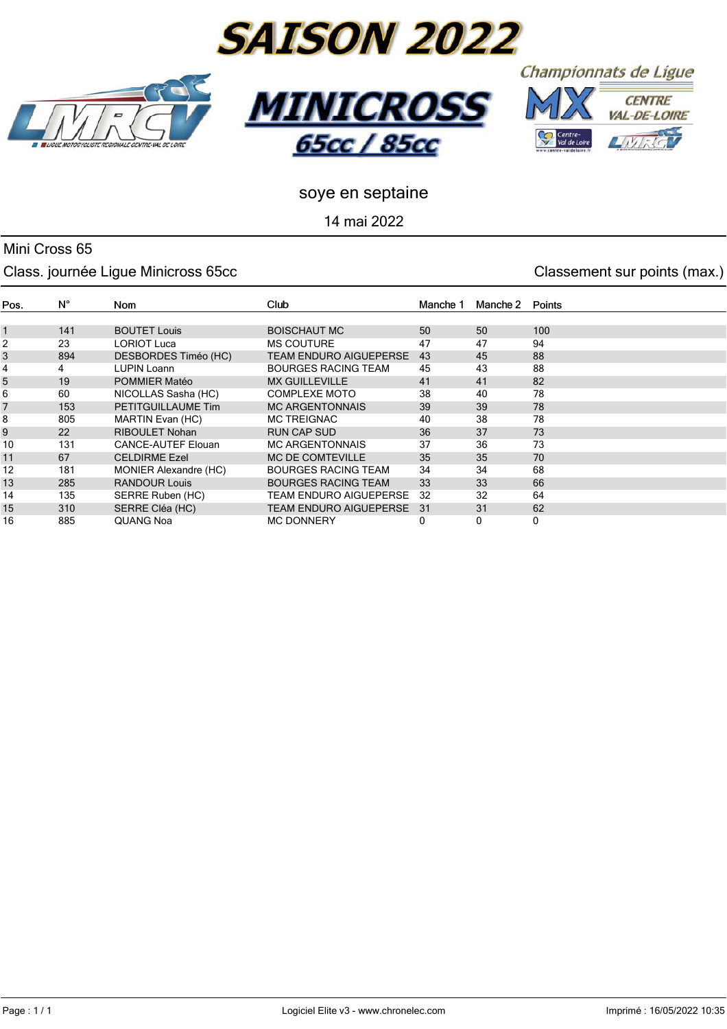







**65cc / 85cc** 

**MINICR** 

14 mai 2022

### Mini Cross 65

#### Class. journée Ligue Minicross 65cc **Classement Sur points (max.)** Classement sur points (max.)

| Pos. | $N^{\circ}$ | <b>Nom</b>                   | Club                          | Manche 1 | Manche 2 | Points |
|------|-------------|------------------------------|-------------------------------|----------|----------|--------|
|      |             |                              |                               |          |          |        |
| 1    | 141         | <b>BOUTET Louis</b>          | <b>BOISCHAUT MC</b>           | 50       | 50       | 100    |
|      | 23          | <b>LORIOT Luca</b>           | <b>MS COUTURE</b>             | 47       | 47       | 94     |
|      | 894         | DESBORDES Timéo (HC)         | <b>TEAM ENDURO AIGUEPERSE</b> | 43       | 45       | 88     |
| 4    | 4           | <b>LUPIN Loann</b>           | <b>BOURGES RACING TEAM</b>    | 45       | 43       | 88     |
| 5    | 19          | POMMIER Matéo                | <b>MX GUILLEVILLE</b>         | 41       | 41       | 82     |
|      | 60          | NICOLLAS Sasha (HC)          | <b>COMPLEXE MOTO</b>          | 38       | 40       | 78     |
|      | 153         | PETITGUILLAUME Tim           | <b>MC ARGENTONNAIS</b>        | 39       | 39       | 78     |
| 8    | 805         | MARTIN Evan (HC)             | <b>MC TREIGNAC</b>            | 40       | 38       | 78     |
| 9    | 22          | <b>RIBOULET Nohan</b>        | RUN CAP SUD                   | 36       | 37       | 73     |
| 10   | 131         | <b>CANCE-AUTEF Elouan</b>    | <b>MC ARGENTONNAIS</b>        | 37       | 36       | 73     |
| 11   | 67          | <b>CELDIRME Ezel</b>         | <b>MC DE COMTEVILLE</b>       | 35       | 35       | 70     |
| 12   | 181         | <b>MONIER Alexandre (HC)</b> | <b>BOURGES RACING TEAM</b>    | 34       | 34       | 68     |
| 13   | 285         | <b>RANDOUR Louis</b>         | <b>BOURGES RACING TEAM</b>    | 33       | 33       | 66     |
| 14   | 135         | SERRE Ruben (HC)             | TEAM ENDURO AIGUEPERSE        | 32       | 32       | 64     |
| 15   | 310         | SERRE Cléa (HC)              | <b>TEAM ENDURO AIGUEPERSE</b> | -31      | 31       | 62     |
| 16   | 885         | QUANG Noa                    | <b>MC DONNERY</b>             | 0        | 0        | 0      |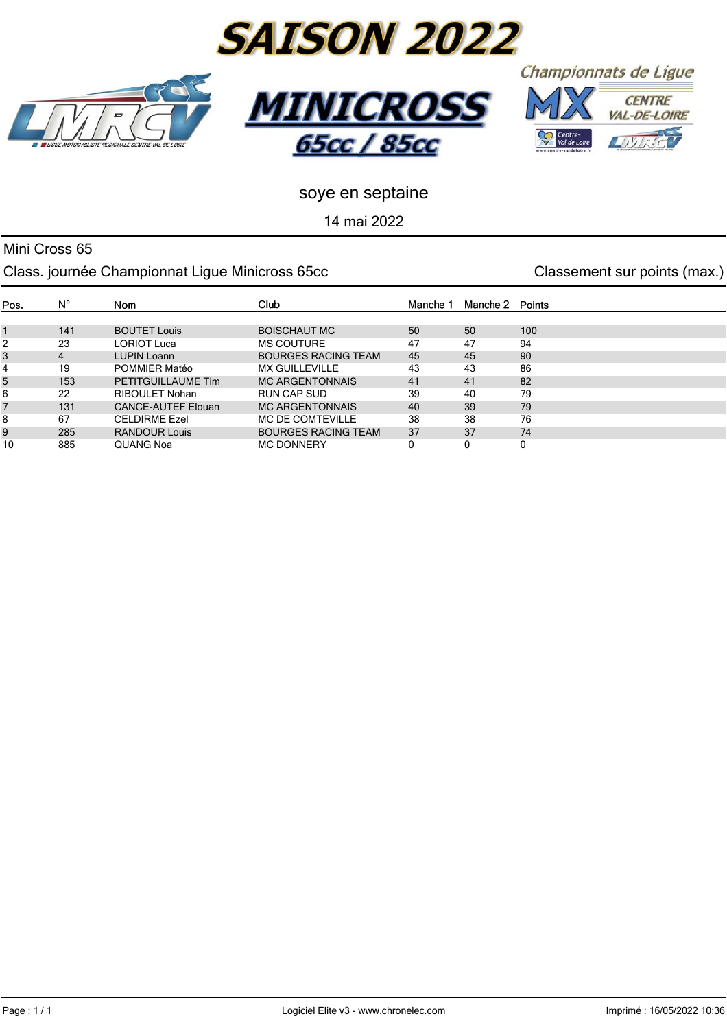

14 mai 2022

#### Mini Cross 65 Class. journée Championnat Ligue Minicross 65cc Classement sur points (max.)

| Pos. | $N^{\circ}$ | Nom                       | Club                       | Manche <sup>-</sup> | Manche 2 | Points |
|------|-------------|---------------------------|----------------------------|---------------------|----------|--------|
|      |             |                           |                            |                     |          |        |
|      | 141         | <b>BOUTET Louis</b>       | <b>BOISCHAUT MC</b>        | 50                  | 50       | 100    |
| 2    | 23          | LORIOT Luca               | <b>MS COUTURE</b>          | 47                  | 47       | 94     |
| 3    | 4           | <b>LUPIN Loann</b>        | <b>BOURGES RACING TEAM</b> | 45                  | 45       | 90     |
| 4    | 19          | <b>POMMIER Matéo</b>      | <b>MX GUILLEVILLE</b>      | 43                  | 43       | 86     |
| 5    | 153         | PETITGUILLAUME Tim        | <b>MC ARGENTONNAIS</b>     | 41                  | 41       | 82     |
| 6    | 22          | RIBOUL FT Nohan           | RUN CAP SUD                | 39                  | 40       | 79     |
|      | 131         | <b>CANCE-AUTEF Elouan</b> | <b>MC ARGENTONNAIS</b>     | 40                  | 39       | 79     |
| 8    | 67          | <b>CELDIRME Ezel</b>      | <b>MC DE COMTEVILLE</b>    | 38                  | 38       | 76     |
| 9    | 285         | <b>RANDOUR Louis</b>      | <b>BOURGES RACING TEAM</b> | 37                  | 37       | 74     |
| 10   | 885         | <b>QUANG Noa</b>          | <b>MC DONNERY</b>          |                     | 0        | 0      |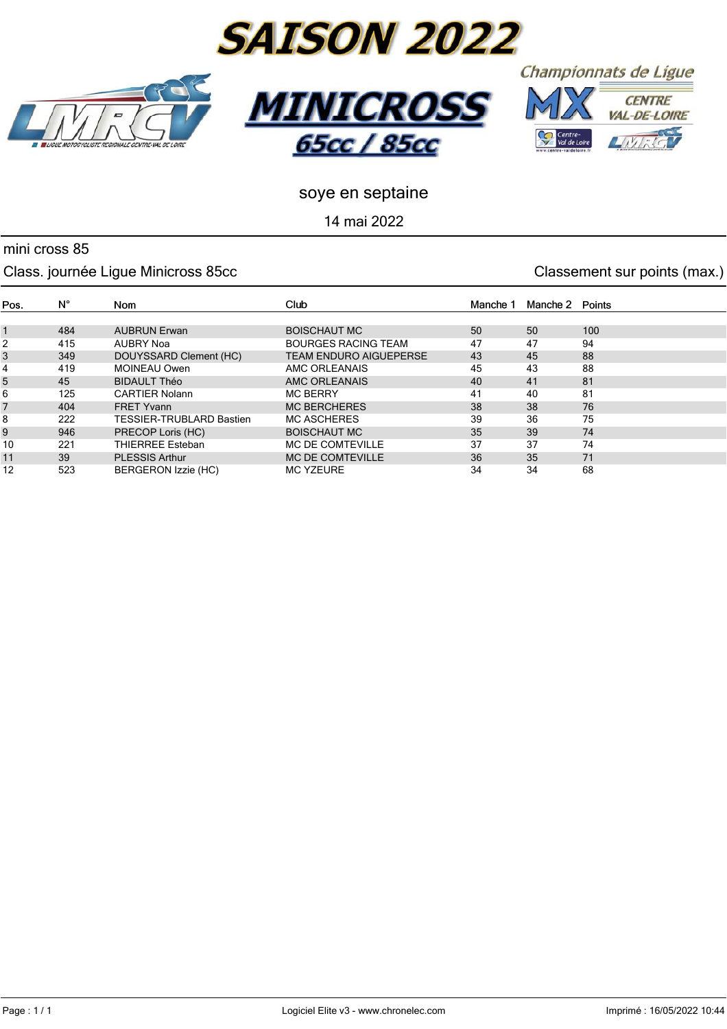







<u>65сс / 85сс</u>

*MINIC* 

14 mai 2022

#### mini cross 85

#### Class. journée Ligue Minicross 85cc Classement sur points (max.)

#### $\mathsf{N}^\circ$ Club Pos. Nom Manche 1 Manche 2 Points 1 484 AUBRUN Erwan BOISCHAUT MC 50 50 100 2 415 AUBRY Noa BOURGES RACING TEAM 47 47 94 3 349 DOUYSSARD Clement (HC) TEAM ENDURO AIGUEPERSE 43 45 88 4 419 MOINEAU Owen AMC ORLEANAIS 45 43 88 5 45 BIDAULT Théo AMC ORLEANAIS 40 41 81 6 125 CARTIER Nolann MC BERRY 41 40 81 7 404 FRET Yvann MC BERCHERES 38 38 76 8 222 TESSIER-TRUBLARD Bastien MC ASCHERES 39 36 75 9 946 PRECOP Loris (HC) BOISCHAUT MC 35 39 74 10 221 THIERREE Esteban MC DE COMTEVILLE 37 37 37 74 11 39 PLESSIS Arthur MC DE COMTEVILLE 36 35 71 12 523 BERGERON Izzie (HC) MC YZEURE 34 34 68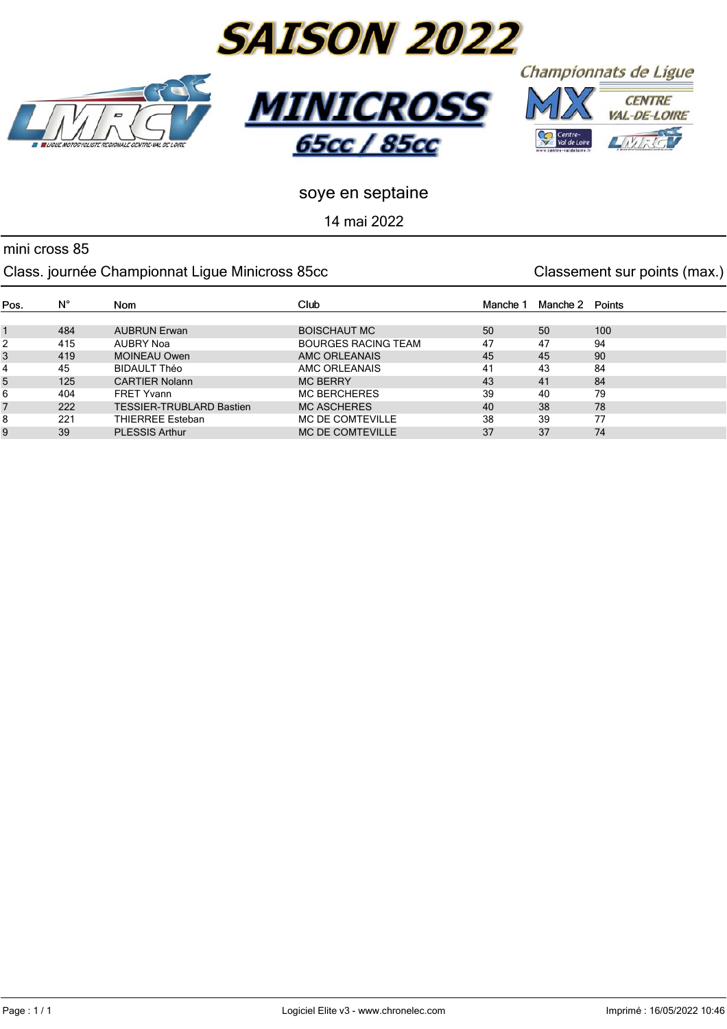





Championnats de Ligue



#### soye en septaine

14 mai 2022

#### mini cross 85

#### Class. journée Championnat Ligue Minicross 85cc Classement sur points (max.)

| Pos. | $N^{\circ}$ | Nom                             | Club                       | Manche 1 | Manche 2 Points |     |
|------|-------------|---------------------------------|----------------------------|----------|-----------------|-----|
|      |             |                                 |                            |          |                 |     |
|      | 484         | <b>AUBRUN Erwan</b>             | <b>BOISCHAUT MC</b>        | 50       | 50              | 100 |
| 2    | 415         | AUBRY Noa                       | <b>BOURGES RACING TEAM</b> | 47       | 47              | 94  |
| 3    | 419         | <b>MOINEAU Owen</b>             | AMC ORLEANAIS              | 45       | 45              | 90  |
| 4    | 45          | <b>BIDAULT Théo</b>             | AMC ORLEANAIS              | 41       | 43              | 84  |
| 5    | 125         | <b>CARTIER Nolann</b>           | <b>MC BERRY</b>            | 43       | 41              | 84  |
| 6    | 404         | <b>FRET Yvann</b>               | <b>MC BERCHERES</b>        | 39       | 40              | 79  |
|      | 222         | <b>TESSIER-TRUBLARD Bastien</b> | <b>MC ASCHERES</b>         | 40       | 38              | 78  |
| 8    | 221         | THIERREE Esteban                | MC DE COMTEVILLE           | 38       | 39              | 77  |
| 9    | 39          | <b>PLESSIS Arthur</b>           | <b>MC DE COMTEVILLE</b>    | 37       | 37              | 74  |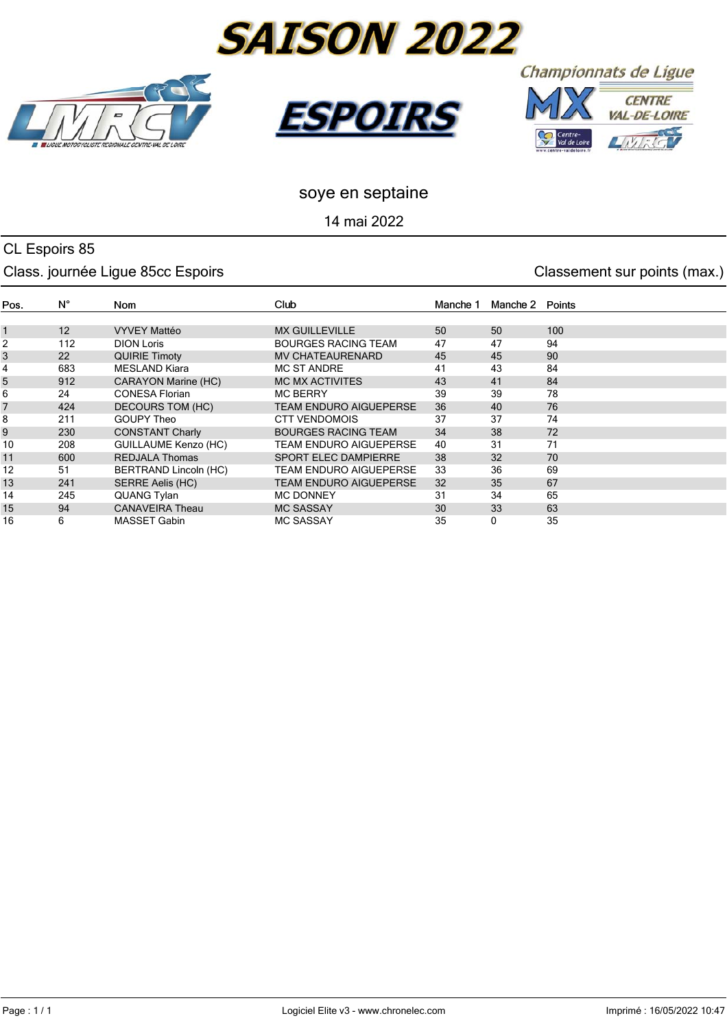





Championnats de Ligue



#### soye en septaine

14 mai 2022

#### CL Espoirs 85 Class. journée Ligue 85cc Espoirs Classement sur points (max.)

#### $N^{\circ}$ Pos. Nom Club Manche 1 Manche 2 Points 1 12 VYVEY Mattéo MX GUILLEVILLE 50 50 100<br>2 112 DION Loris BOURGES RACING TEAM 47 47 94 2 112 DION Loris BOURGES RACING TEAM 47 47 94 3 22 QUIRIE Timoty MV CHATEAURENARD 45 45 90 4 683 MESLAND Kiara MC ST ANDRE 41 43 84 5 912 CARAYON Marine (HC) MC MX ACTIVITES 43 41 84 6 24 CONESA Florian MC BERRY 39 39 78 7 424 DECOURS TOM (HC) TEAM ENDURO AIGUEPERSE 36 40 76 8 211 GOUPY Theo CTT VENDOMOIS 37 37 74 9 230 CONSTANT Charly BOURGES RACING TEAM 34 38 72 10 208 GUILLAUME Kenzo (HC) TEAM ENDURO AIGUEPERSE 40 31 71 11 600 REDJALA Thomas SPORT ELEC DAMPIERRE 38 32 70 12 51 BERTRAND Lincoln (HC) TEAM ENDURO AIGUEPERSE 33 36 69 13 241 SERRE Aelis (HC) TEAM ENDURO AIGUEPERSE 32 35 67 14 245 QUANG Tylan MC DONNEY 31 34 65 15 94 CANAVEIRA Theau MC SASSAY 30 33 63 16 6 MASSET Gabin MC SASSAY 35 0 35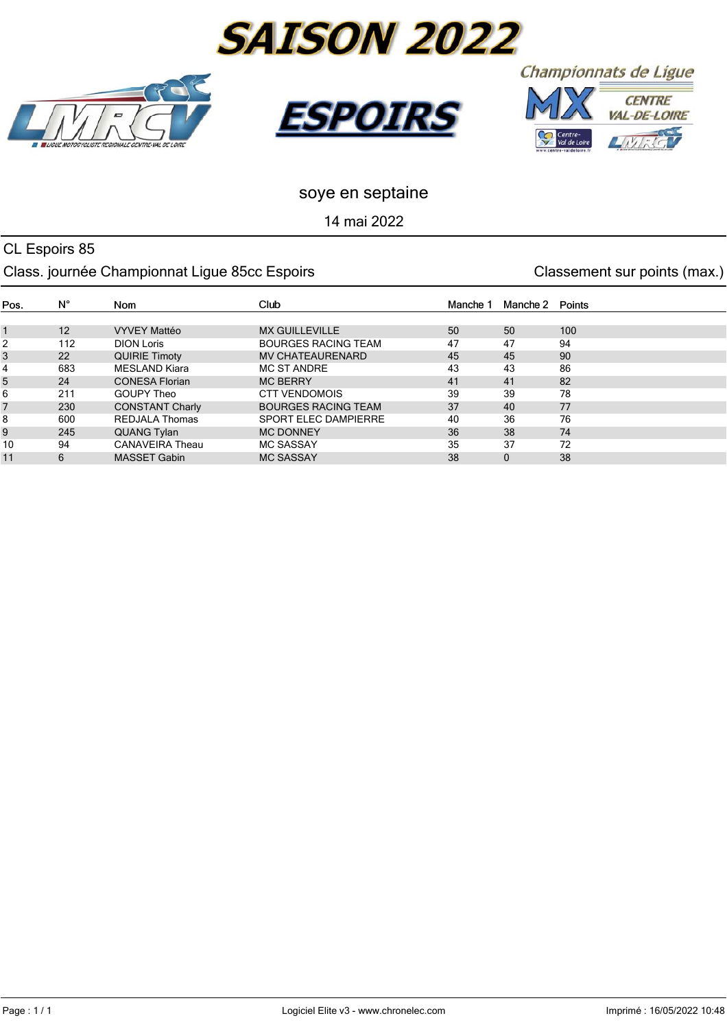





Championnats de Ligue



## soye en septaine

14 mai 2022

### CL Espoirs 85 Class. journée Championnat Ligue 85cc Espoirs **Classement Sur points (max.)** Classement sur points (max.)

| Pos. | $N^{\circ}$ | <b>Nom</b>             | <b>Club</b>                | Manche 1 | Manche 2 | Points |
|------|-------------|------------------------|----------------------------|----------|----------|--------|
|      |             |                        |                            |          |          |        |
|      | 12          | <b>VYVEY Mattéo</b>    | <b>MX GUILLEVILLE</b>      | 50       | 50       | 100    |
| 2    | 112         | <b>DION Loris</b>      | <b>BOURGES RACING TEAM</b> | 47       | 47       | 94     |
| 3    | 22          | <b>QUIRIE Timoty</b>   | <b>MV CHATEAURENARD</b>    | 45       | 45       | 90     |
| 4    | 683         | <b>MESLAND Kiara</b>   | <b>MC ST ANDRE</b>         | 43       | 43       | 86     |
| 5    | 24          | <b>CONESA Florian</b>  | <b>MC BERRY</b>            | 41       | 41       | 82     |
| 6    | 211         | <b>GOUPY Theo</b>      | <b>CTT VENDOMOIS</b>       | 39       | 39       | 78     |
|      | 230         | <b>CONSTANT Charly</b> | <b>BOURGES RACING TEAM</b> | 37       | 40       | 77     |
| 8    | 600         | REDJALA Thomas         | SPORT ELEC DAMPIERRE       | 40       | 36       | 76     |
| 9    | 245         | QUANG Tylan            | <b>MC DONNEY</b>           | 36       | 38       | 74     |
| 10   | 94          | <b>CANAVEIRA Theau</b> | <b>MC SASSAY</b>           | 35       | 37       | 72     |
| 11   | 6           | <b>MASSET Gabin</b>    | <b>MC SASSAY</b>           | 38       | 0        | 38     |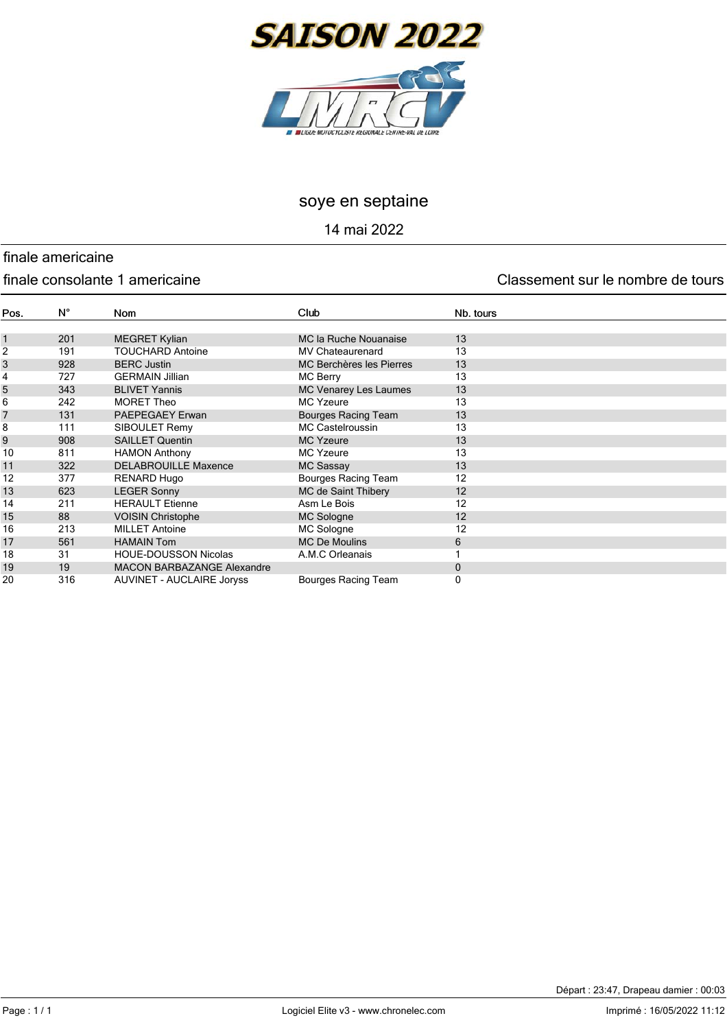

14 mai 2022

# finale americaine

#### finale consolante 1 americaine Classement sur le nombre de tours

| Pos.           | $N^{\circ}$ | <b>Nom</b>                       | Club                         | Nb. tours |
|----------------|-------------|----------------------------------|------------------------------|-----------|
|                |             |                                  |                              |           |
| $\mathbf{1}$   | 201         | <b>MEGRET Kylian</b>             | MC la Ruche Nouanaise        | 13        |
| 2              | 191         | <b>TOUCHARD Antoine</b>          | <b>MV Chateaurenard</b>      | 13        |
| 3              | 928         | <b>BERC Justin</b>               | MC Berchères les Pierres     | 13        |
| 4              | 727         | <b>GERMAIN Jillian</b>           | MC Berry                     | 13        |
| 5              | 343         | <b>BLIVET Yannis</b>             | <b>MC Venarey Les Laumes</b> | 13        |
| 6              | 242         | <b>MORET Theo</b>                | <b>MC Yzeure</b>             | 13        |
| $\overline{7}$ | 131         | <b>PAEPEGAEY Erwan</b>           | <b>Bourges Racing Team</b>   | 13        |
| 8              | 111         | SIBOULET Remy                    | <b>MC Castelroussin</b>      | 13        |
| 9              | 908         | <b>SAILLET Quentin</b>           | <b>MC Yzeure</b>             | 13        |
| 10             | 811         | <b>HAMON Anthony</b>             | <b>MC Yzeure</b>             | 13        |
| 11             | 322         | <b>DELABROUILLE Maxence</b>      | <b>MC Sassay</b>             | 13        |
| 12             | 377         | <b>RENARD Hugo</b>               | Bourges Racing Team          | 12        |
| 13             | 623         | <b>LEGER Sonny</b>               | MC de Saint Thibery          | 12        |
| 14             | 211         | <b>HERAULT Etienne</b>           | Asm Le Bois                  | 12        |
| 15             | 88          | <b>VOISIN Christophe</b>         | <b>MC Sologne</b>            | 12        |
| 16             | 213         | <b>MILLET Antoine</b>            | MC Sologne                   | 12        |
| 17             | 561         | <b>HAMAIN Tom</b>                | <b>MC De Moulins</b>         | 6         |
| 18             | 31          | <b>HOUE-DOUSSON Nicolas</b>      | A.M.C Orleanais              |           |
| 19             | 19          | MACON BARBAZANGE Alexandre       |                              | $\Omega$  |
| 20             | 316         | <b>AUVINET - AUCLAIRE Joryss</b> | <b>Bourges Racing Team</b>   | 0         |

Départ : 23:47, Drapeau damier : 00:03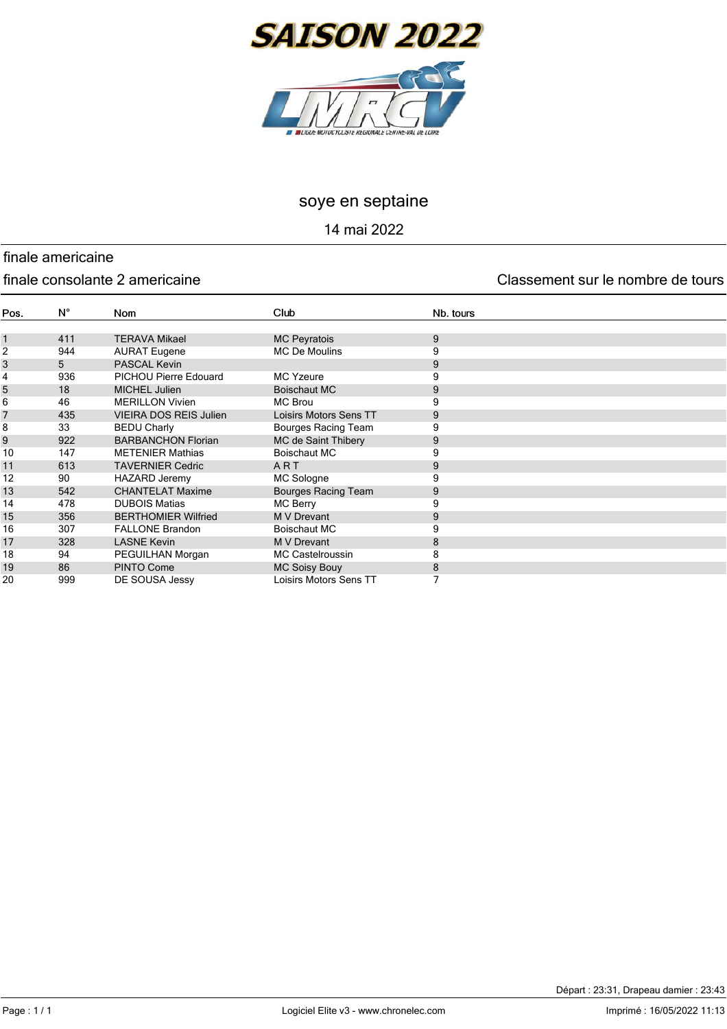

14 mai 2022

# finale americaine

#### finale consolante 2 americaine Classement sur le nombre de tours

| Pos.         | $N^{\circ}$ | Nom                           | Club                       | Nb. tours |
|--------------|-------------|-------------------------------|----------------------------|-----------|
|              |             |                               |                            |           |
| $\mathbf{1}$ | 411         | <b>TERAVA Mikael</b>          | <b>MC Peyratois</b>        | 9         |
| 2            | 944         | <b>AURAT Eugene</b>           | <b>MC De Moulins</b>       | 9         |
| 3            | 5           | <b>PASCAL Kevin</b>           |                            | 9         |
| 4            | 936         | PICHOU Pierre Edouard         | <b>MC Yzeure</b>           | 9         |
| 5            | 18          | MICHEL Julien                 | Boischaut MC               | 9         |
| 6            | 46          | <b>MERILLON Vivien</b>        | <b>MC Brou</b>             |           |
| 7            | 435         | <b>VIEIRA DOS REIS Julien</b> | Loisirs Motors Sens TT     | 9         |
| 8            | 33          | <b>BEDU Charly</b>            | Bourges Racing Team        | 9         |
| 9            | 922         | <b>BARBANCHON Florian</b>     | MC de Saint Thibery        | 9         |
| 10           | 147         | <b>METENIER Mathias</b>       | <b>Boischaut MC</b>        | 9         |
| 11           | 613         | <b>TAVERNIER Cedric</b>       | ART                        | 9         |
| 12           | 90          | <b>HAZARD Jeremy</b>          | MC Sologne                 | 9         |
| 13           | 542         | <b>CHANTELAT Maxime</b>       | <b>Bourges Racing Team</b> | 9         |
| 14           | 478         | <b>DUBOIS Matias</b>          | <b>MC Berry</b>            | 9         |
| 15           | 356         | <b>BERTHOMIER Wilfried</b>    | M V Drevant                | 9         |
| 16           | 307         | <b>FALLONE Brandon</b>        | Boischaut MC               | 9         |
| 17           | 328         | <b>LASNE Kevin</b>            | <b>M V Drevant</b>         | 8         |
| 18           | 94          | PEGUILHAN Morgan              | <b>MC Castelroussin</b>    | 8         |
| 19           | 86          | PINTO Come                    | <b>MC Soisy Bouy</b>       | 8         |
| 20           | 999         | DE SOUSA Jessy                | Loisirs Motors Sens TT     |           |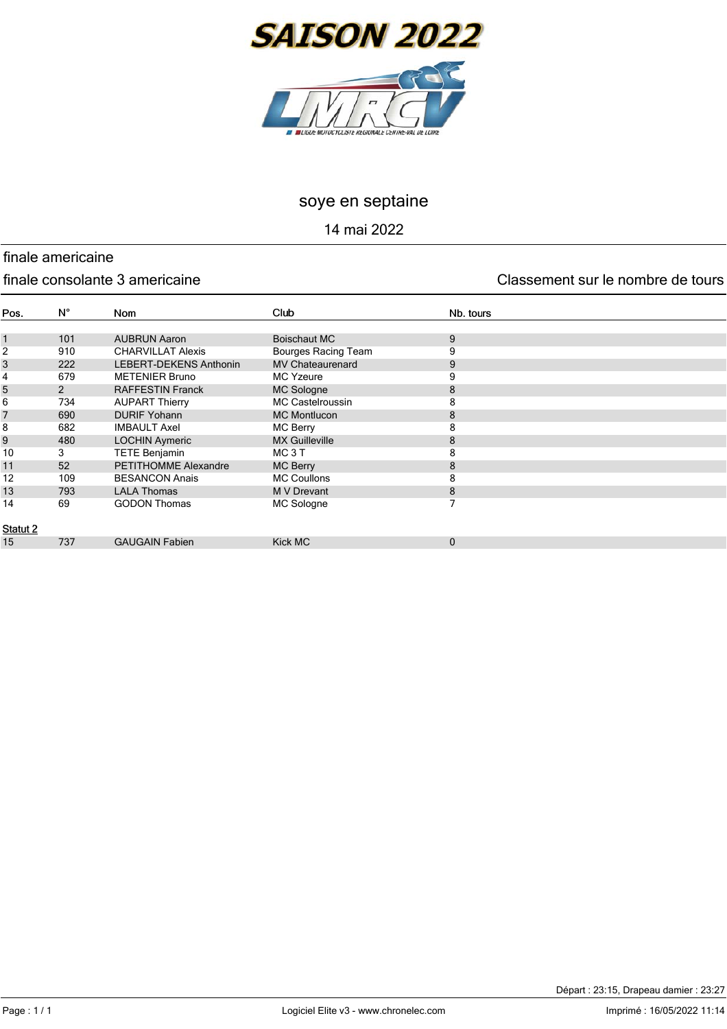

14 mai 2022

## finale americaine

#### finale consolante 3 americaine Classement sur le nombre de tours

| Pos.         | $N^{\circ}$    | <b>Nom</b>                    | Club                       | Nb. tours   |
|--------------|----------------|-------------------------------|----------------------------|-------------|
|              |                |                               |                            |             |
| $\mathbf{1}$ | 101            | <b>AUBRUN Aaron</b>           | Boischaut MC               | 9           |
| 2            | 910            | <b>CHARVILLAT Alexis</b>      | <b>Bourges Racing Team</b> | 9           |
| 3            | 222            | <b>LEBERT-DEKENS Anthonin</b> | <b>MV Chateaurenard</b>    | 9           |
| 4            | 679            | <b>METENIER Bruno</b>         | <b>MC Yzeure</b>           | 9           |
| 5            | $\overline{2}$ | <b>RAFFESTIN Franck</b>       | MC Sologne                 | 8           |
| 6            | 734            | <b>AUPART Thierry</b>         | <b>MC Castelroussin</b>    | 8           |
| 7            | 690            | <b>DURIF Yohann</b>           | <b>MC Montlucon</b>        | 8           |
| 8            | 682            | <b>IMBAULT Axel</b>           | <b>MC Berry</b>            | 8           |
| 9            | 480            | <b>LOCHIN Aymeric</b>         | <b>MX Guilleville</b>      | 8           |
| 10           | 3              | <b>TETE Benjamin</b>          | MC <sub>3</sub> T          | 8           |
| 11           | 52             | PETITHOMME Alexandre          | MC Berry                   | 8           |
| 12           | 109            | <b>BESANCON Anais</b>         | <b>MC Coullons</b>         | 8           |
| 13           | 793            | <b>LALA Thomas</b>            | M V Drevant                | 8           |
| 14           | 69             | <b>GODON Thomas</b>           | MC Sologne                 | 7           |
|              |                |                               |                            |             |
| Statut 2     |                |                               |                            |             |
| 15           | 737            | <b>GAUGAIN Fabien</b>         | Kick MC                    | $\mathbf 0$ |
|              |                |                               |                            |             |

Départ : 23:15, Drapeau damier : 23:27